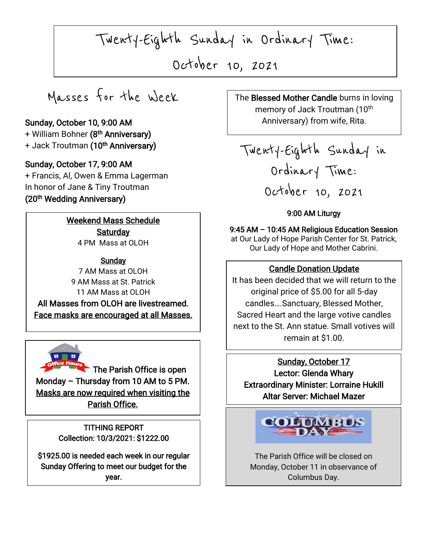Twenty-Eighth Sunday in Ordinary Time:

October 10, 2021

 $\parallel$ 

Ļ

Masses for the Week

### Sunday, October 10, 9:00 AM

+ William Bohner **(8<sup>th</sup> Anniversary)** + Jack Troutman **(10<sup>th</sup> Anniversary)** 

### Sunday, October 17, 9:00 AM

I

I

+ Francis, Al, Owen & Emma Lagerman In honor of Jane & Tiny Troutman (20<sup>th</sup> Wedding Anniversary)

> Weekend Mass Schedule **Saturday** 4 PM Mass at OLOH

The Face masks are encouraged at all Masses. **Sunday** 7 AM Mass at OLOH 9 AM Mass at St. Patrick 11 AM Mass at OLOH All Masses from OLOH are livestreamed.



The Parish Office is open Monday – Thursday from 10 AM to 5 PM. Masks are now required when visiting the Parish Office.

> Collection: 10/3/2021: \$1222.00 TITHING REPORT

\$1925.00 is needed each week in our regular Sunday Offering to meet our budget for the year.

The Blessed Mother Candle burns in loving memory of Jack Troutman (10<sup>th</sup> Anniversary) from wife, Rita.

Twenty-Eighth Sunday in Ordinary Time: October 10, 2021

#### 9:00 AM Liturgy

9:45 AM – 10:45 AM Religious Education Session at Our Lady of Hope Parish Center for St. Patrick, Our Lady of Hope and Mother Cabrini.

### Candle Donation Update

It has been decided that we will return to the original price of \$5.00 for all 5-day candles….Sanctuary, Blessed Mother, Sacred Heart and the large votive candles next to the St. Ann statue. Small votives will remain at \$1.00.

Sunday, October 17 Lector: Glenda Whary Extraordinary Minister: Lorraine Hukill Altar Server: Michael Mazer



The Parish Office will be closed on Monday, October 11 in observance of Columbus Day.